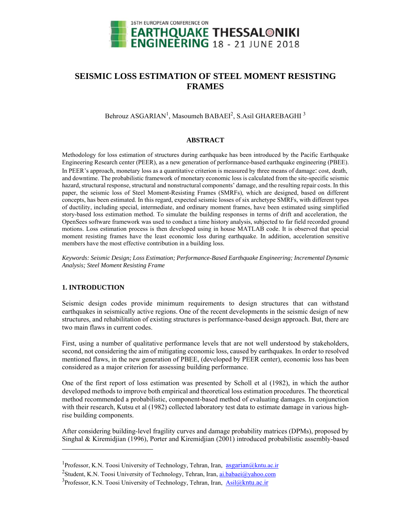

# **SEISMIC LOSS ESTIMATION OF STEEL MOMENT RESISTING FRAMES**

Behrouz ASGARIAN<sup>1</sup>, Masoumeh BABAEI<sup>2</sup>, S.Asil GHAREBAGHI<sup>3</sup>

# **ABSTRACT**

Methodology for loss estimation of structures during earthquake has been introduced by the Pacific Earthquake Engineering Research center (PEER), as a new generation of performance-based earthquake engineering (PBEE). In PEER's approach, monetary loss as a quantitative criterion is measured by three means of damage: cost, death, and downtime. The probabilistic framework of monetary economic loss is calculated from the site-specific seismic hazard, structural response, structural and nonstructural components' damage, and the resulting repair costs. In this paper, the seismic loss of Steel Moment-Resisting Frames (SMRFs), which are designed, based on different concepts, has been estimated. In this regard, expected seismic losses of six archetype SMRFs, with different types of ductility, including special, intermediate, and ordinary moment frames, have been estimated using simplified story-based loss estimation method. To simulate the building responses in terms of drift and acceleration, the OpenSees software framework was used to conduct a time history analysis, subjected to far field recorded ground motions. Loss estimation process is then developed using in house MATLAB code. It is observed that special moment resisting frames have the least economic loss during earthquake. In addition, acceleration sensitive members have the most effective contribution in a building loss.

*Keywords: Seismic Design; Loss Estimation; Performance-Based Earthquake Engineering; Incremental Dynamic Analysis; Steel Moment Resisting Frame* 

# **1. INTRODUCTION**

l

Seismic design codes provide minimum requirements to design structures that can withstand earthquakes in seismically active regions. One of the recent developments in the seismic design of new structures, and rehabilitation of existing structures is performance-based design approach. But, there are two main flaws in current codes.

First, using a number of qualitative performance levels that are not well understood by stakeholders, second, not considering the aim of mitigating economic loss, caused by earthquakes. In order to resolved mentioned flaws, in the new generation of PBEE, (developed by PEER center), economic loss has been considered as a major criterion for assessing building performance.

One of the first report of loss estimation was presented by Scholl et al (1982), in which the author developed methods to improve both empirical and theoretical loss estimation procedures. The theoretical method recommended a probabilistic, component-based method of evaluating damages. In conjunction with their research, Kutsu et al (1982) collected laboratory test data to estimate damage in various highrise building components.

After considering building-level fragility curves and damage probability matrices (DPMs), proposed by Singhal & Kiremidjian (1996), Porter and Kiremidjian (2001) introduced probabilistic assembly-based

<sup>&</sup>lt;sup>1</sup>Professor, K.N. Toosi University of Technology, Tehran, Iran, asgarian@kntu.ac.ir

<sup>&</sup>lt;sup>2</sup>Student, K.N. Toosi University of Technology, Tehran, Iran, <u>ai.babaei@yahoo.com</u><br><sup>3</sup>Professor, K.N. Toosi University of Technology, Tehran, Iran, Asil@kntu as ir

<sup>&</sup>lt;sup>3</sup>Professor, K.N. Toosi University of Technology, Tehran, Iran, Asil $@k$ ntu.ac.ir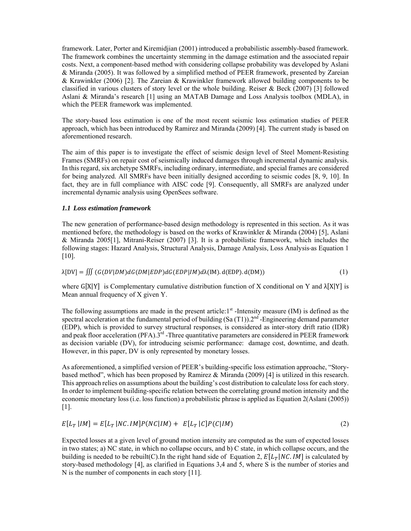framework. Later, Porter and Kiremidjian (2001) introduced a probabilistic assembly-based framework. The framework combines the uncertainty stemming in the damage estimation and the associated repair costs. Next, a component-based method with considering collapse probability was developed by Aslani & Miranda (2005). It was followed by a simplified method of PEER framework, presented by Zareian & Krawinkler (2006) [2]. The Zareian & Krawinkler framework allowed building components to be classified in various clusters of story level or the whole building. Reiser & Beck (2007) [3] followed Aslani & Miranda's research [1] using an MATAB Damage and Loss Analysis toolbox (MDLA), in which the PEER framework was implemented.

The story-based loss estimation is one of the most recent seismic loss estimation studies of PEER approach, which has been introduced by Ramirez and Miranda (2009) [4]. The current study is based on aforementioned research.

The aim of this paper is to investigate the effect of seismic design level of Steel Moment-Resisting Frames (SMRFs) on repair cost of seismically induced damages through incremental dynamic analysis. In this regard, six archetype SMRFs, including ordinary, intermediate, and special frames are considered for being analyzed. All SMRFs have been initially designed according to seismic codes [8, 9, 10]. In fact, they are in full compliance with AISC code [9]. Consequently, all SMRFs are analyzed under incremental dynamic analysis using OpenSees software.

# *1.1 Loss estimation framework*

The new generation of performance-based design methodology is represented in this section. As it was mentioned before, the methodology is based on the works of Krawinkler & Miranda (2004) [5], Aslani & Miranda 2005[1], Mitrani-Reiser (2007) [3]. It is a probabilistic framework, which includes the following stages: Hazard Analysis, Structural Analysis, Damage Analysis, Loss Analysis as Equation 1 [10].

$$
\lambda[DV] = \iiint (G(DV|DM) dG(DM|EDP) dG(EDP|IM) d\lambda(IM). d(EDP). d(DM))
$$
\n(1)

where  $G[X|Y]$  is Complementary cumulative distribution function of X conditional on Y and  $\lambda[X|Y]$  is Mean annual frequency of X given Y.

The following assumptions are made in the present article:1<sup>st</sup> -Intensity measure (IM) is defined as the spectral acceleration at the fundamental period of building  $(Sa(T1))$ . 2<sup>nd</sup> -Engineering demand parameter (EDP), which is provided to survey structural responses, is considered as inter-story drift ratio (IDR) and peak floor acceleration (PFA).<sup>3rd</sup> -Three quantitative parameters are considered in PEER framework as decision variable (DV), for introducing seismic performance: damage cost, downtime, and death. However, in this paper, DV is only represented by monetary losses.

As aforementioned, a simplified version of PEER's building-specific loss estimation approache, "Storybased method", which has been proposed by Ramirez & Miranda (2009) [4] is utilized in this research. This approach relies on assumptions about the building's cost distribution to calculate loss for each story. In order to implement building-specific relation between the correlating ground motion intensity and the economic monetary loss (i.e. loss function) a probabilistic phrase is applied as Equation 2(Aslani (2005)) [1].

$$
E[L_T | IM] = E[L_T | NC. IM]P(NC|IM) + E[L_T | C]P(C|IM)
$$
\n
$$
(2)
$$

Expected losses at a given level of ground motion intensity are computed as the sum of expected losses in two states; a) NC state, in which no collapse occurs, and b) C state, in which collapse occurs, and the building is needed to be rebuilt(C). In the right hand side of Equation 2,  $E[L_T|NCIM]$  is calculated by story-based methodology [4], as clarified in Equations 3,4 and 5, where S is the number of stories and N is the number of components in each story [11].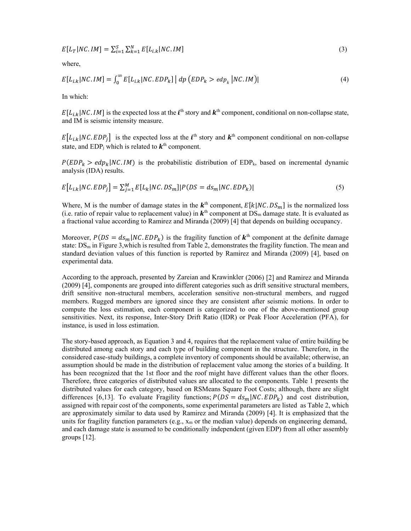$$
E[L_T|NC.IM] = \sum_{i=1}^{S} \sum_{k=1}^{N} E[L_{i,k}|NC.IM]
$$
\n(3)

where,

$$
E[L_{i,k}|NC.IM] = \int_0^\infty E[L_{i,k}|NC.EDP_k] | dp (EDP_k > edp_k |NC.IM)|
$$
\n(4)

In which:

 $E[L_{i,k}|NC.1M]$  is the expected loss at the  $i^{\text{th}}$  story and  $k^{\text{th}}$  component, conditional on non-collapse state, and IM is seismic intensity measure.

 $E[L_{i,k}|NC.EDP_j]$  is the expected loss at the  $i^{\text{th}}$  story and  $k^{\text{th}}$  component conditional on non-collapse state, and EDP<sub>i</sub> which is related to  $k<sup>th</sup>$  component.

 $P(EDP_k > edp_k|NC.1M)$  is the probabilistic distribution of EDP<sub>k</sub>, based on incremental dynamic analysis (IDA) results.

$$
E[L_{i,k}|NC.EDP_j] = \sum_{j=1}^{M} E[L_k|NC.DS_m]|P(DS = ds_m|NC.EDP_k)|
$$
\n
$$
(5)
$$

Where, M is the number of damage states in the  $k^{\text{th}}$  component,  $E[k|NC.DS_m]$  is the normalized loss (i.e. ratio of repair value to replacement value) in  $k^{\text{th}}$  component at DS<sub>m</sub> damage state. It is evaluated as a fractional value according to Ramirez and Miranda (2009) [4] that depends on building occupancy.

Moreover,  $P(DS = ds_m | NC. EDP_k)$  is the fragility function of  $k^{\text{th}}$  component at the definite damage state:  $DS_m$  in Figure 3, which is resulted from Table 2, demonstrates the fragility function. The mean and standard deviation values of this function is reported by Ramirez and Miranda (2009) [4], based on experimental data.

According to the approach, presented by Zareian and Krawinkler (2006) [2] and Ramirez and Miranda (2009) [4], components are grouped into different categories such as drift sensitive structural members, drift sensitive non-structural members, acceleration sensitive non-structural members, and rugged members. Rugged members are ignored since they are consistent after seismic motions. In order to compute the loss estimation, each component is categorized to one of the above-mentioned group sensitivities. Next, its response, Inter-Story Drift Ratio (IDR) or Peak Floor Acceleration (PFA), for instance, is used in loss estimation.

The story-based approach, as Equation 3 and 4, requires that the replacement value of entire building be distributed among each story and each type of building component in the structure. Therefore, in the considered case-study buildings, a complete inventory of components should be available; otherwise, an assumption should be made in the distribution of replacement value among the stories of a building. It has been recognized that the 1st floor and the roof might have different values than the other floors. Therefore, three categories of distributed values are allocated to the components. Table 1 presents the distributed values for each category, based on RSMeans Square Foot Costs; although, there are slight differences [6,13]. To evaluate Fragility functions;  $P(DS = ds_m | NC. EDP_k)$  and cost distribution, assigned with repair cost of the components, some experimental parameters are listed as Table 2, which are approximately similar to data used by Ramirez and Miranda (2009) [4]. It is emphasized that the units for fragility function parameters (e.g.,  $x_m$  or the median value) depends on engineering demand, and each damage state is assumed to be conditionally independent (given EDP) from all other assembly groups [12].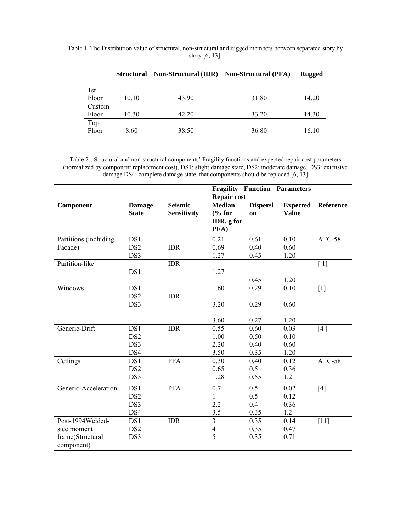|        | <b>Structural</b> | <b>Non-Structural (IDR)</b> | <b>Non-Structural (PFA)</b> | Rugged |
|--------|-------------------|-----------------------------|-----------------------------|--------|
| 1st    |                   |                             |                             |        |
| Floor  | 10.10             | 43.90                       | 31.80                       | 14.20  |
| Custom |                   |                             |                             |        |
| Floor  | 10.30             | 42.20                       | 33.20                       | 14.30  |
| Top    |                   |                             |                             |        |
| Floor  | 8.60              | 38.50                       | 36.80                       | 16.10  |

Table 1. The Distribution value of structural, non-structural and rugged members between separated story by story [6, 13].

Table 2 . Structural and non-structural components' Fragility functions and expected repair cost parameters (normalized by component replacement cost), DS1: slight damage state, DS2: moderate damage, DS3: extensive damage DS4: complete damage state, that components should be replaced [6, 13]

|                                |                               |                               | <b>Fragility Function Parameters</b><br><b>Repair cost</b> |                       |                                 |           |
|--------------------------------|-------------------------------|-------------------------------|------------------------------------------------------------|-----------------------|---------------------------------|-----------|
| Component                      | <b>Damage</b><br><b>State</b> | <b>Seismic</b><br>Sensitivity | <b>Median</b><br>% for<br>IDR, g for<br>PFA)               | <b>Dispersi</b><br>on | <b>Expected</b><br><b>Value</b> | Reference |
| Partitions (including          | DS1                           |                               | 0.21                                                       | 0.61                  | 0.10                            | ATC-58    |
| Façade)                        | DS <sub>2</sub>               | <b>IDR</b>                    | 0.69                                                       | 0.40                  | 0.60                            |           |
|                                | DS3                           |                               | 1.27                                                       | 0.45                  | 1.20                            |           |
| Partition-like                 |                               | <b>IDR</b>                    |                                                            |                       |                                 | [1]       |
|                                | DS1                           |                               | 1.27                                                       |                       |                                 |           |
|                                |                               |                               |                                                            | 0.45                  | 1.20                            |           |
| Windows                        | DS1                           |                               | 1.60                                                       | 0.29                  | 0.10                            | $[1]$     |
|                                | DS <sub>2</sub><br>DS3        | <b>IDR</b>                    | 3.20                                                       | 0.29                  | 0.60                            |           |
|                                |                               |                               |                                                            |                       |                                 |           |
|                                |                               |                               | 3.60                                                       | 0.27                  | 1.20                            |           |
| Generic-Drift                  | DS1                           | <b>IDR</b>                    | 0.55                                                       | 0.60                  | 0.03                            | [4]       |
|                                | DS <sub>2</sub>               |                               | 1.00                                                       | 0.50                  | 0.10                            |           |
|                                | DS3                           |                               | 2.20                                                       | 0.40                  | 0.60                            |           |
|                                | DS4                           |                               | 3.50                                                       | 0.35                  | 1.20                            |           |
| Ceilings                       | DS1                           | <b>PFA</b>                    | 0.30                                                       | 0.40                  | 0.12                            | ATC-58    |
|                                | DS <sub>2</sub>               |                               | 0.65                                                       | 0.5                   | 0.36                            |           |
|                                | DS3                           |                               | 1.28                                                       | 0.55                  | 1.2                             |           |
| Generic-Acceleration           | DS1                           | PFA                           | 0.7                                                        | 0.5                   | 0.02                            | $[4]$     |
|                                | DS <sub>2</sub>               |                               | 1                                                          | 0.5                   | 0.12                            |           |
|                                | DS3                           |                               | 2.2                                                        | 0.4                   | 0.36                            |           |
|                                | DS4                           |                               | 3.5                                                        | 0.35                  | 1.2                             |           |
| Post-1994Welded-               | DS1                           | <b>IDR</b>                    | $\overline{\mathbf{3}}$                                    | 0.35                  | 0.14                            | $[11]$    |
| steelmoment                    | DS <sub>2</sub>               |                               | $\overline{4}$                                             | 0.35                  | 0.47                            |           |
| frame(Structural<br>component) | DS3                           |                               | 5                                                          | 0.35                  | 0.71                            |           |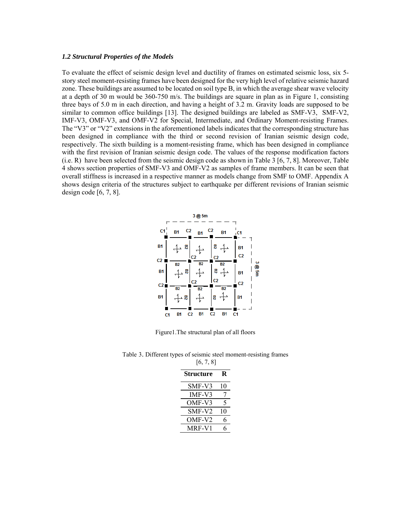#### *1.2 Structural Properties of the Models*

To evaluate the effect of seismic design level and ductility of frames on estimated seismic loss, six 5 story steel moment-resisting frames have been designed for the very high level of relative seismic hazard zone. These buildings are assumed to be located on soil type B, in which the average shear wave velocity at a depth of 30 m would be 360-750 m/s. The buildings are square in plan as in Figure 1, consisting three bays of 5.0 m in each direction, and having a height of 3.2 m. Gravity loads are supposed to be similar to common office buildings [13]. The designed buildings are labeled as SMF-V3, SMF-V2, IMF-V3, OMF-V3, and OMF-V2 for Special, Intermediate, and Ordinary Moment-resisting Frames. The "V3" or "V2" extensions in the aforementioned labels indicates that the corresponding structure has been designed in compliance with the third or second revision of Iranian seismic design code, respectively. The sixth building is a moment-resisting frame, which has been designed in compliance with the first revision of Iranian seismic design code. The values of the response modification factors (i.e. R) have been selected from the seismic design code as shown in Table 3 [6, 7, 8]. Moreover, Table 4 shows section properties of SMF-V3 and OMF-V2 as samples of frame members. It can be seen that overall stiffness is increased in a respective manner as models change from SMF to OMF. Appendix A shows design criteria of the structures subject to earthquake per different revisions of Iranian seismic design code [6, 7, 8].



Figure1.The structural plan of all floors

| Table 3. Different types of seismic steel moment-resisting frames |
|-------------------------------------------------------------------|
| [6, 7, 8]                                                         |

| <b>Structure</b> | R  |
|------------------|----|
| SMF-V3           | 10 |
| $IMF-V3$         | 7  |
| OMF-V3           | 5  |
| SMF-V2           | 10 |
| OMF-V2           | 6  |
| MRF-V1           | h  |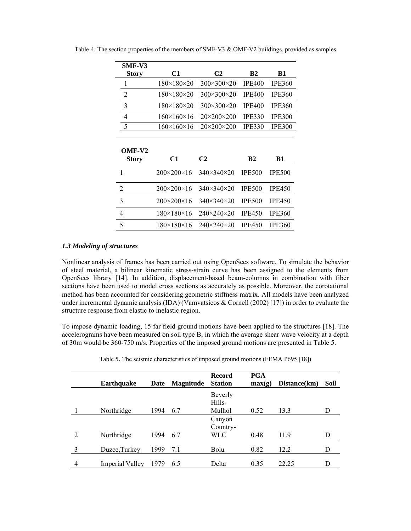| SMF-V3            |                            |                            |               |               |
|-------------------|----------------------------|----------------------------|---------------|---------------|
| <b>Story</b>      | C1                         | C2                         | <b>B2</b>     | <b>B1</b>     |
| 1                 | $180 \times 180 \times 20$ | 300×300×20                 | <b>IPE400</b> | <b>IPE360</b> |
| 2                 | $180 \times 180 \times 20$ | $300\times300\times20$     | <b>IPE400</b> | <b>IPE360</b> |
| 3                 | $180 \times 180 \times 20$ | $300\times300\times20$     | <b>IPE400</b> | <b>IPE360</b> |
| 4                 | $160 \times 160 \times 16$ | $20\times200\times200$     | <b>IPE330</b> | <b>IPE300</b> |
| 5                 | $160 \times 160 \times 16$ | $20\times200\times200$     | <b>IPE330</b> | IPE300        |
|                   |                            |                            |               |               |
|                   |                            |                            |               |               |
|                   |                            |                            |               |               |
| OMF-V2            | C1                         | C2                         | <b>B2</b>     | <b>B1</b>     |
| <b>Story</b><br>1 | $200 \times 200 \times 16$ | $340 \times 340 \times 20$ | <b>IPE500</b> | <b>IPE500</b> |
| $\overline{2}$    | $200 \times 200 \times 16$ | $340 \times 340 \times 20$ | <b>IPE500</b> | <b>IPE450</b> |
| 3                 | $200 \times 200 \times 16$ | $340 \times 340 \times 20$ | <b>IPE500</b> | <b>IPE450</b> |
| 4                 | $180 \times 180 \times 16$ | $240 \times 240 \times 20$ | <b>IPE450</b> | <b>IPE360</b> |

Table 4. The section properties of the members of SMF-V3 & OMF-V2 buildings, provided as samples

#### *1.3 Modeling of structures*

Nonlinear analysis of frames has been carried out using OpenSees software. To simulate the behavior of steel material, a bilinear kinematic stress-strain curve has been assigned to the elements from OpenSees library [14]. In addition, displacement-based beam-columns in combination with fiber sections have been used to model cross sections as accurately as possible. Moreover, the corotational method has been accounted for considering geometric stiffness matrix. All models have been analyzed under incremental dynamic analysis (IDA) (Vamvatsicos & Cornell (2002) [17]) in order to evaluate the structure response from elastic to inelastic region.

To impose dynamic loading, 15 far field ground motions have been applied to the structures [18]. The accelerograms have been measured on soil type B, in which the average shear wave velocity at a depth of 30m would be 360-750 m/s. Properties of the imposed ground motions are presented in Table 5.

|   |                        |      |                  | <b>Record</b>     | <b>PGA</b> |              |      |
|---|------------------------|------|------------------|-------------------|------------|--------------|------|
|   | <b>Earthquake</b>      | Date | <b>Magnitude</b> | <b>Station</b>    | max(g)     | Distance(km) | Soil |
|   |                        |      |                  | Beverly<br>Hills- |            |              |      |
|   | Northridge             | 1994 | 6.7              | Mulhol            | 0.52       | 13.3         |      |
|   |                        |      |                  | Canyon            |            |              |      |
|   |                        |      |                  | Country-          |            |              |      |
| ↑ | Northridge             | 1994 | 6.7              | <b>WLC</b>        | 0.48       | 11.9         | D    |
| 3 | Duzce, Turkey          | 1999 | 7.1              | Bolu              | 0.82       | 12.2         | D    |
| 4 | <b>Imperial Valley</b> | 1979 | 6.5              | Delta             | 0.35       | 22.25        |      |

Table 5. The seismic characteristics of imposed ground motions (FEMA P695 [18])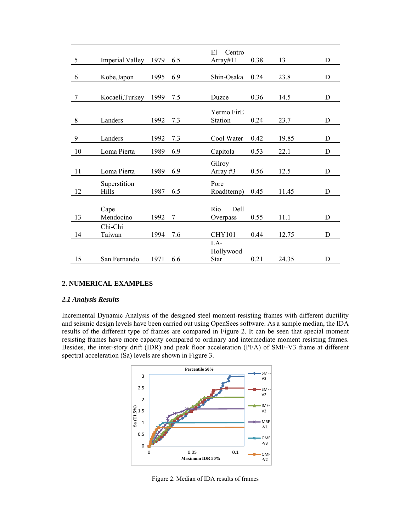|         |                        |      |     | El<br>Centro  |      |       |   |
|---------|------------------------|------|-----|---------------|------|-------|---|
| 5       | <b>Imperial Valley</b> | 1979 | 6.5 | Array# $11$   | 0.38 | 13    | D |
|         |                        |      |     |               |      |       |   |
| 6       | Kobe, Japon            | 1995 | 6.9 | Shin-Osaka    | 0.24 | 23.8  | D |
|         |                        |      |     |               |      |       |   |
| 7       | Kocaeli, Turkey        | 1999 | 7.5 | Duzce         | 0.36 | 14.5  | D |
|         |                        |      |     | Yermo FirE    |      |       |   |
| $\,8\,$ | Landers                | 1992 | 7.3 | Station       | 0.24 | 23.7  | D |
|         |                        |      |     |               |      |       |   |
| 9       | Landers                | 1992 | 7.3 | Cool Water    | 0.42 | 19.85 | D |
|         |                        |      |     |               |      |       |   |
| 10      | Loma Pierta            | 1989 | 6.9 | Capitola      | 0.53 | 22.1  | D |
|         |                        |      |     | Gilroy        |      |       |   |
| 11      | Loma Pierta            | 1989 | 6.9 | Array #3      | 0.56 | 12.5  | D |
|         | Superstition           |      |     | Pore          |      |       |   |
| 12      | Hills                  | 1987 | 6.5 | Road(temp)    | 0.45 | 11.45 | D |
|         |                        |      |     |               |      |       |   |
|         | Cape                   |      |     | Rio<br>Dell   |      |       |   |
| 13      | Mendocino              | 1992 | 7   | Overpass      | 0.55 | 11.1  | D |
|         | Chi-Chi                |      |     |               |      |       |   |
| 14      | Taiwan                 | 1994 | 7.6 | <b>CHY101</b> | 0.44 | 12.75 | D |
|         |                        |      |     | LA-           |      |       |   |
|         |                        |      |     | Hollywood     |      |       |   |
| 15      | San Fernando           | 1971 | 6.6 | <b>Star</b>   | 0.21 | 24.35 | D |

# **2. NUMERICAL EXAMPLES**

#### *2.1 Analysis Results*

Incremental Dynamic Analysis of the designed steel moment-resisting frames with different ductility and seismic design levels have been carried out using OpenSees software. As a sample median, the IDA results of the different type of frames are compared in Figure 2. It can be seen that special moment resisting frames have more capacity compared to ordinary and intermediate moment resisting frames. Besides, the inter-story drift (IDR) and peak floor acceleration (PFA) of SMF-V3 frame at different spectral acceleration (Sa) levels are shown in Figure 3.



Figure 2. Median of IDA results of frames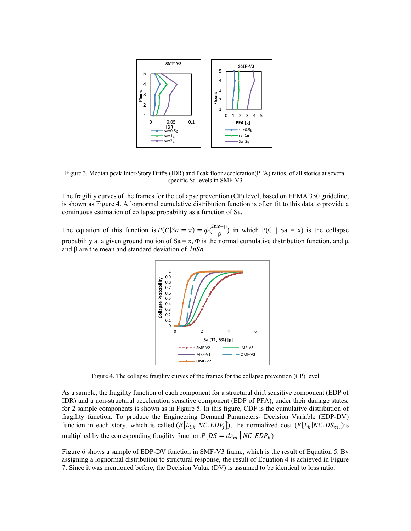

Figure 3. Median peak Inter-Story Drifts (IDR) and Peak floor acceleration(PFA) ratios, of all stories at several specific Sa levels in SMF-V3

The fragility curves of the frames for the collapse prevention (CP) level, based on FEMA 350 guideline, is shown as Figure 4. A lognormal cumulative distribution function is often fit to this data to provide a continuous estimation of collapse probability as a function of Sa.

The equation of this function is  $P(C|Sa = x) = \phi(\frac{ln x - \mu}{\beta})$  in which  $P(C | Sa = x)$  is the collapse probability at a given ground motion of Sa = x,  $\Phi$  is the normal cumulative distribution function, and  $\mu$ and  $\beta$  are the mean and standard deviation of  $lnSa$ .



Figure 4. The collapse fragility curves of the frames for the collapse prevention (CP) level

As a sample, the fragility function of each component for a structural drift sensitive component (EDP of IDR) and a non-structural acceleration sensitive component (EDP of PFA), under their damage states, for 2 sample components is shown as in Figure 5. In this figure, CDF is the cumulative distribution of fragility function. To produce the Engineering Demand Parameters- Decision Variable (EDP-DV) function in each story, which is called  $(E[L_{i,k}|NC.EDP_i])$ , the normalized cost  $(E[L_k|NC.DS_m])$ is multiplied by the corresponding fragility function. $P[DS = ds_m | NC. EDP_k)$ 

Figure 6 shows a sample of EDP-DV function in SMF-V3 frame, which is the result of Equation 5. By assigning a lognormal distribution to structural response, the result of Equation 4 is achieved in Figure 7. Since it was mentioned before, the Decision Value (DV) is assumed to be identical to loss ratio.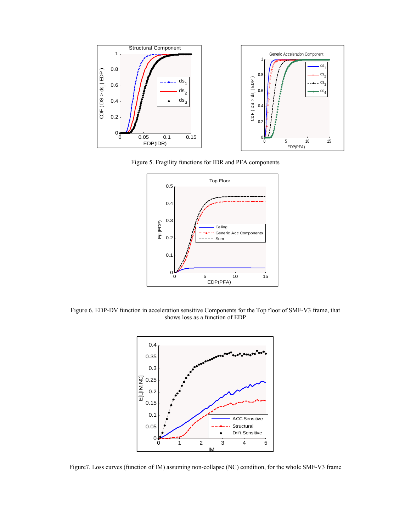

Figure 5. Fragility functions for IDR and PFA components



Figure 6. EDP-DV function in acceleration sensitive Components for the Top floor of SMF-V3 frame, that shows loss as a function of EDP



Figure7. Loss curves (function of IM) assuming non-collapse (NC) condition, for the whole SMF-V3 frame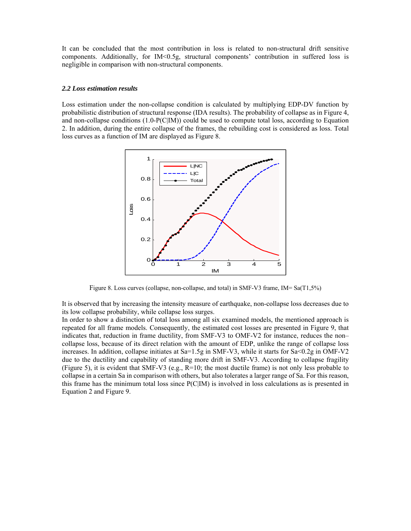It can be concluded that the most contribution in loss is related to non-structural drift sensitive components. Additionally, for IM<0.5g, structural components' contribution in suffered loss is negligible in comparison with non-structural components.

#### *2.2 Loss estimation results*

Loss estimation under the non-collapse condition is calculated by multiplying EDP-DV function by probabilistic distribution of structural response (IDA results). The probability of collapse as in Figure 4, and non-collapse conditions (1.0-P(C|IM)) could be used to compute total loss, according to Equation 2. In addition, during the entire collapse of the frames, the rebuilding cost is considered as loss. Total loss curves as a function of IM are displayed as Figure 8.



Figure 8. Loss curves (collapse, non-collapse, and total) in SMF-V3 frame, IM= Sa(T1,5%)

It is observed that by increasing the intensity measure of earthquake, non-collapse loss decreases due to its low collapse probability, while collapse loss surges.

In order to show a distinction of total loss among all six examined models, the mentioned approach is repeated for all frame models. Consequently, the estimated cost losses are presented in Figure 9, that indicates that, reduction in frame ductility, from SMF-V3 to OMF-V2 for instance, reduces the non– collapse loss, because of its direct relation with the amount of EDP, unlike the range of collapse loss increases. In addition, collapse initiates at Sa=1.5g in SMF-V3, while it starts for Sa<0.2g in OMF-V2 due to the ductility and capability of standing more drift in SMF-V3. According to collapse fragility (Figure 5), it is evident that SMF-V3 (e.g.,  $R=10$ ; the most ductile frame) is not only less probable to collapse in a certain Sa in comparison with others, but also tolerates a larger range of Sa. For this reason, this frame has the minimum total loss since P(C|IM) is involved in loss calculations as is presented in Equation 2 and Figure 9.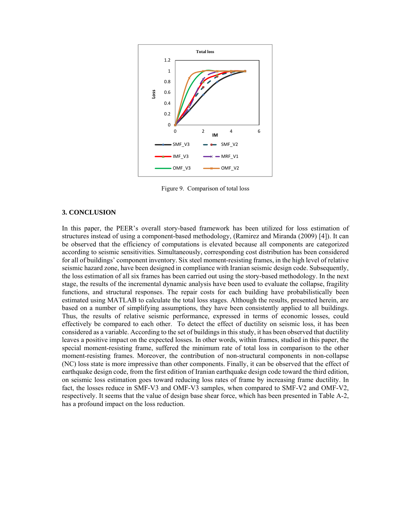

Figure 9. Comparison of total loss

### **3. CONCLUSION**

In this paper, the PEER's overall story-based framework has been utilized for loss estimation of structures instead of using a component-based methodology, (Ramirez and Miranda (2009) [4]). It can be observed that the efficiency of computations is elevated because all components are categorized according to seismic sensitivities. Simultaneously, corresponding cost distribution has been considered for all of buildings' component inventory. Six steel moment-resisting frames, in the high level of relative seismic hazard zone, have been designed in compliance with Iranian seismic design code. Subsequently, the loss estimation of all six frames has been carried out using the story-based methodology. In the next stage, the results of the incremental dynamic analysis have been used to evaluate the collapse, fragility functions, and structural responses. The repair costs for each building have probabilistically been estimated using MATLAB to calculate the total loss stages. Although the results, presented herein, are based on a number of simplifying assumptions, they have been consistently applied to all buildings. Thus, the results of relative seismic performance, expressed in terms of economic losses, could effectively be compared to each other. To detect the effect of ductility on seismic loss, it has been considered as a variable. According to the set of buildings in this study, it has been observed that ductility leaves a positive impact on the expected losses. In other words, within frames, studied in this paper, the special moment-resisting frame, suffered the minimum rate of total loss in comparison to the other moment-resisting frames. Moreover, the contribution of non-structural components in non-collapse (NC) loss state is more impressive than other components. Finally, it can be observed that the effect of earthquake design code, from the first edition of Iranian earthquake design code toward the third edition, on seismic loss estimation goes toward reducing loss rates of frame by increasing frame ductility. In fact, the losses reduce in SMF-V3 and OMF-V3 samples, when compared to SMF-V2 and OMF-V2, respectively. It seems that the value of design base shear force, which has been presented in Table A-2, has a profound impact on the loss reduction.